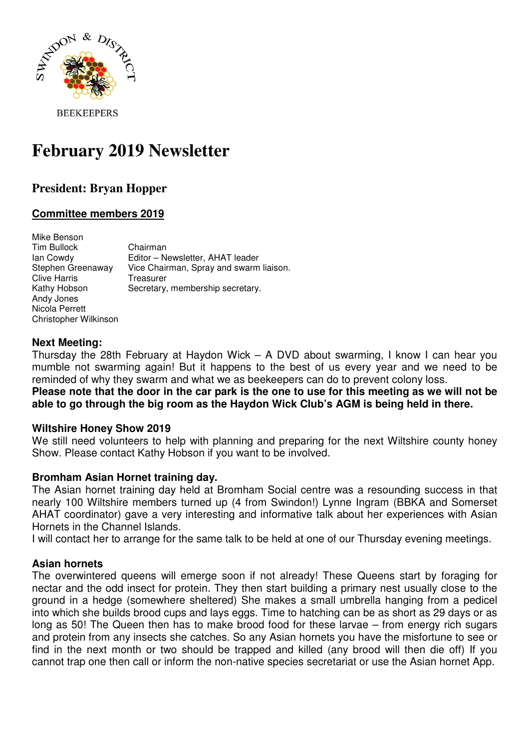

**BEEKEEPERS** 

# **February 2019 Newsletter**

# **President: Bryan Hopper**

# **Committee members 2019**

| Mike Benson<br><b>Tim Bullock</b><br>lan Cowdy<br>Stephen Greenaway<br><b>Clive Harris</b> | Chairman<br>Editor - Newsletter, AHAT leader<br>Vice Chairman, Spray and swarm liaison.<br>Treasurer |
|--------------------------------------------------------------------------------------------|------------------------------------------------------------------------------------------------------|
| Kathy Hobson<br>Andy Jones                                                                 | Secretary, membership secretary.                                                                     |
| Nicola Perrett                                                                             |                                                                                                      |
| Christopher Wilkinson                                                                      |                                                                                                      |

#### **Next Meeting:**

Thursday the 28th February at Haydon Wick – A DVD about swarming, I know I can hear you mumble not swarming again! But it happens to the best of us every year and we need to be reminded of why they swarm and what we as beekeepers can do to prevent colony loss.

**Please note that the door in the car park is the one to use for this meeting as we will not be able to go through the big room as the Haydon Wick Club's AGM is being held in there.** 

#### **Wiltshire Honey Show 2019**

We still need volunteers to help with planning and preparing for the next Wiltshire county honey Show. Please contact Kathy Hobson if you want to be involved.

#### **Bromham Asian Hornet training day.**

The Asian hornet training day held at Bromham Social centre was a resounding success in that nearly 100 Wiltshire members turned up (4 from Swindon!) Lynne Ingram (BBKA and Somerset AHAT coordinator) gave a very interesting and informative talk about her experiences with Asian Hornets in the Channel Islands.

I will contact her to arrange for the same talk to be held at one of our Thursday evening meetings.

#### **Asian hornets**

The overwintered queens will emerge soon if not already! These Queens start by foraging for nectar and the odd insect for protein. They then start building a primary nest usually close to the ground in a hedge (somewhere sheltered) She makes a small umbrella hanging from a pedicel into which she builds brood cups and lays eggs. Time to hatching can be as short as 29 days or as long as 50! The Queen then has to make brood food for these larvae – from energy rich sugars and protein from any insects she catches. So any Asian hornets you have the misfortune to see or find in the next month or two should be trapped and killed (any brood will then die off) If you cannot trap one then call or inform the non-native species secretariat or use the Asian hornet App.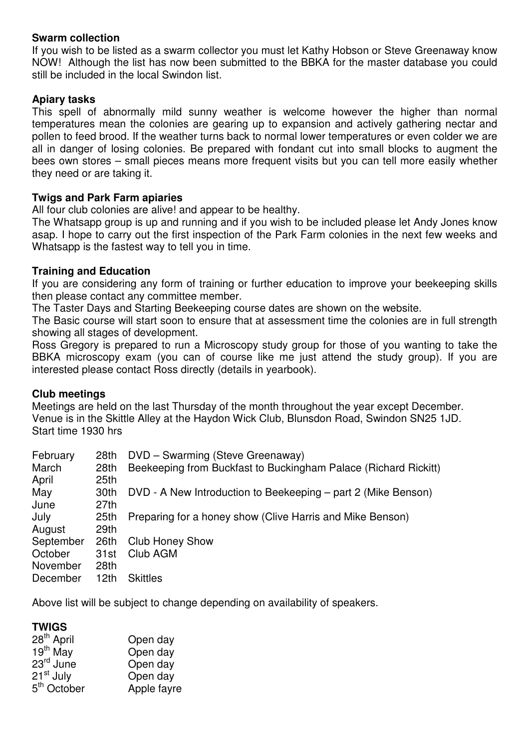#### **Swarm collection**

If you wish to be listed as a swarm collector you must let Kathy Hobson or Steve Greenaway know NOW! Although the list has now been submitted to the BBKA for the master database you could still be included in the local Swindon list.

### **Apiary tasks**

This spell of abnormally mild sunny weather is welcome however the higher than normal temperatures mean the colonies are gearing up to expansion and actively gathering nectar and pollen to feed brood. If the weather turns back to normal lower temperatures or even colder we are all in danger of losing colonies. Be prepared with fondant cut into small blocks to augment the bees own stores – small pieces means more frequent visits but you can tell more easily whether they need or are taking it.

# **Twigs and Park Farm apiaries**

All four club colonies are alive! and appear to be healthy.

The Whatsapp group is up and running and if you wish to be included please let Andy Jones know asap. I hope to carry out the first inspection of the Park Farm colonies in the next few weeks and Whatsapp is the fastest way to tell you in time.

# **Training and Education**

If you are considering any form of training or further education to improve your beekeeping skills then please contact any committee member.

The Taster Days and Starting Beekeeping course dates are shown on the website.

The Basic course will start soon to ensure that at assessment time the colonies are in full strength showing all stages of development.

Ross Gregory is prepared to run a Microscopy study group for those of you wanting to take the BBKA microscopy exam (you can of course like me just attend the study group). If you are interested please contact Ross directly (details in yearbook).

# **Club meetings**

Meetings are held on the last Thursday of the month throughout the year except December. Venue is in the Skittle Alley at the Haydon Wick Club, Blunsdon Road, Swindon SN25 1JD. Start time 1930 hrs

| 28th             | DVD - Swarming (Steve Greenaway)                                |
|------------------|-----------------------------------------------------------------|
| 28th             | Beekeeping from Buckfast to Buckingham Palace (Richard Rickitt) |
| 25 <sub>th</sub> |                                                                 |
| 30th             | DVD - A New Introduction to Beekeeping – part 2 (Mike Benson)   |
| 27 <sub>th</sub> |                                                                 |
| 25 <sub>th</sub> | Preparing for a honey show (Clive Harris and Mike Benson)       |
| 29th             |                                                                 |
| 26th             | <b>Club Honey Show</b>                                          |
| 31st             | Club AGM                                                        |
| 28th             |                                                                 |
| 12th             | <b>Skittles</b>                                                 |
|                  |                                                                 |

Above list will be subject to change depending on availability of speakers.

# **TWIGS**

| 28 <sup>th</sup> April  | Open day    |
|-------------------------|-------------|
| $19th$ May              | Open day    |
| 23 <sup>rd</sup> June   | Open day    |
| 21 <sup>st</sup> July   | Open day    |
| 5 <sup>th</sup> October | Apple fayre |